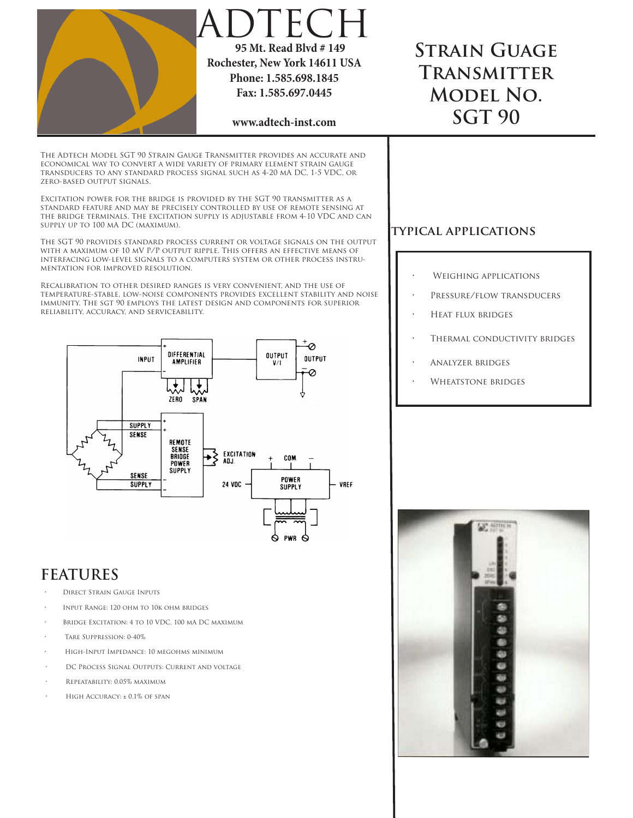

- INPUT RANGE: 120 OHM TO 10K OHM BRIDGES
- BRIDGE EXCITATION: 4 TO 10 VDC, 100 MA DC MAXIMUM
- TARE SUPPRESSION: 0-40%
- HIGH-INPUT IMPEDANCE: 10 MEGOHMS MINIMUM
- DC PROCESS SIGNAL OUTPUTS: CURRENT AND VOLTAGE
- REPEATABILITY: 0.05% MAXIMUM
- $HIGH$  Accuracy:  $+0.1\%$  of span